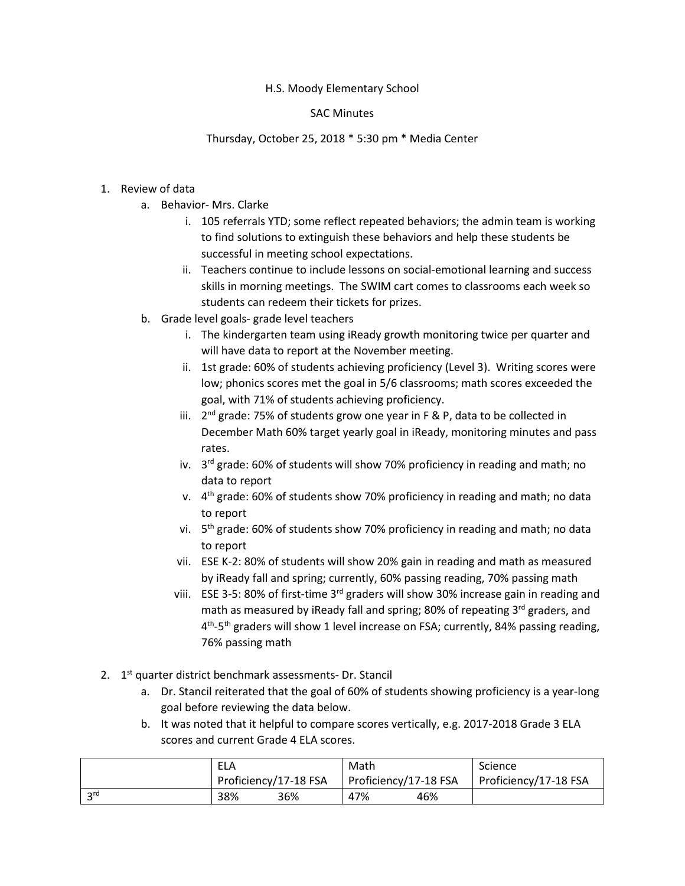#### H.S. Moody Elementary School

#### SAC Minutes

## Thursday, October 25, 2018 \* 5:30 pm \* Media Center

## 1. Review of data

- a. Behavior- Mrs. Clarke
	- i. 105 referrals YTD; some reflect repeated behaviors; the admin team is working to find solutions to extinguish these behaviors and help these students be successful in meeting school expectations.
	- ii. Teachers continue to include lessons on social-emotional learning and success skills in morning meetings. The SWIM cart comes to classrooms each week so students can redeem their tickets for prizes.
- b. Grade level goals- grade level teachers
	- i. The kindergarten team using iReady growth monitoring twice per quarter and will have data to report at the November meeting.
	- ii. 1st grade: 60% of students achieving proficiency (Level 3). Writing scores were low; phonics scores met the goal in 5/6 classrooms; math scores exceeded the goal, with 71% of students achieving proficiency.
	- iii.  $2^{nd}$  grade: 75% of students grow one year in F & P, data to be collected in December Math 60% target yearly goal in iReady, monitoring minutes and pass rates.
	- iv.  $3^{rd}$  grade: 60% of students will show 70% proficiency in reading and math; no data to report
	- v.  $4<sup>th</sup>$  grade: 60% of students show 70% proficiency in reading and math; no data to report
	- vi. 5<sup>th</sup> grade: 60% of students show 70% proficiency in reading and math; no data to report
	- vii. ESE K-2: 80% of students will show 20% gain in reading and math as measured by iReady fall and spring; currently, 60% passing reading, 70% passing math
	- viii. ESE 3-5: 80% of first-time 3<sup>rd</sup> graders will show 30% increase gain in reading and math as measured by iReady fall and spring; 80% of repeating 3<sup>rd</sup> graders, and 4<sup>th</sup>-5<sup>th</sup> graders will show 1 level increase on FSA; currently, 84% passing reading, 76% passing math
- 2. 1<sup>st</sup> quarter district benchmark assessments- Dr. Stancil
	- a. Dr. Stancil reiterated that the goal of 60% of students showing proficiency is a year-long goal before reviewing the data below.
	- b. It was noted that it helpful to compare scores vertically, e.g. 2017-2018 Grade 3 ELA scores and current Grade 4 ELA scores.

|                 | ELA                   | Math                  | Science               |  |
|-----------------|-----------------------|-----------------------|-----------------------|--|
|                 | Proficiency/17-18 FSA | Proficiency/17-18 FSA | Proficiency/17-18 FSA |  |
| 2 <sub>rd</sub> | 38%<br>36%            | 47%<br>46%            |                       |  |